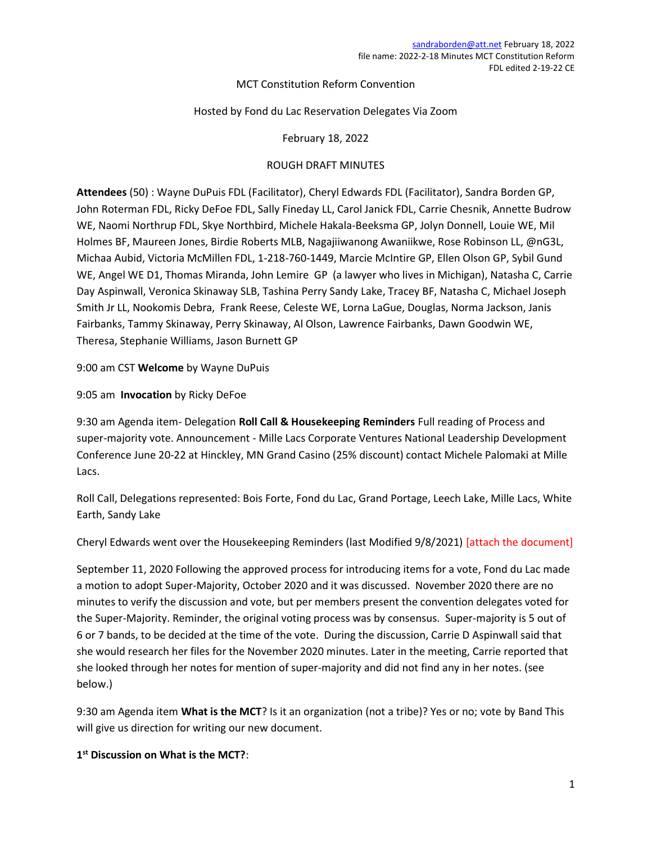## MCT Constitution Reform Convention

## Hosted by Fond du Lac Reservation Delegates Via Zoom

February 18, 2022

## ROUGH DRAFT MINUTES

Attendees (50) : Wayne DuPuis FDL (Facilitator), Cheryl Edwards FDL (Facilitator), Sandra Borden GP, John Roterman FDL, Ricky DeFoe FDL, Sally Fineday LL, Carol Janick FDL, Carrie Chesnik, Annette Budrow WE, Naomi Northrup FDL, Skye Northbird, Michele Hakala-Beeksma GP, Jolyn Donnell, Louie WE, Mil Holmes BF, Maureen Jones, Birdie Roberts MLB, Nagajiiwanong Awaniikwe, Rose Robinson LL, @nG3L, Michaa Aubid, Victoria McMillen FDL, 1-218-760-1449, Marcie McIntire GP, Ellen Olson GP, Sybil Gund WE, Angel WE D1, Thomas Miranda, John Lemire GP (a lawyer who lives in Michigan), Natasha C, Carrie Day Aspinwall, Veronica Skinaway SLB, Tashina Perry Sandy Lake, Tracey BF, Natasha C, Michael Joseph Smith Jr LL, Nookomis Debra, Frank Reese, Celeste WE, Lorna LaGue, Douglas, Norma Jackson, Janis Fairbanks, Tammy Skinaway, Perry Skinaway, Al Olson, Lawrence Fairbanks, Dawn Goodwin WE, Theresa, Stephanie Williams, Jason Burnett GP

9:00 am CST Welcome by Wayne DuPuis

9:05 am Invocation by Ricky DeFoe

9:30 am Agenda item- Delegation Roll Call & Housekeeping Reminders Full reading of Process and super-majority vote. Announcement - Mille Lacs Corporate Ventures National Leadership Development Conference June 20-22 at Hinckley, MN Grand Casino (25% discount) contact Michele Palomaki at Mille Lacs.

Roll Call, Delegations represented: Bois Forte, Fond du Lac, Grand Portage, Leech Lake, Mille Lacs, White Earth, Sandy Lake

Cheryl Edwards went over the Housekeeping Reminders (last Modified 9/8/2021) [attach the document]

September 11, 2020 Following the approved process for introducing items for a vote, Fond du Lac made a motion to adopt Super-Majority, October 2020 and it was discussed. November 2020 there are no minutes to verify the discussion and vote, but per members present the convention delegates voted for the Super-Majority. Reminder, the original voting process was by consensus. Super-majority is 5 out of 6 or 7 bands, to be decided at the time of the vote. During the discussion, Carrie D Aspinwall said that she would research her files for the November 2020 minutes. Later in the meeting, Carrie reported that she looked through her notes for mention of super-majority and did not find any in her notes. (see below.)

9:30 am Agenda item What is the MCT? Is it an organization (not a tribe)? Yes or no; vote by Band This will give us direction for writing our new document.

1<sup>st</sup> Discussion on What is the MCT?: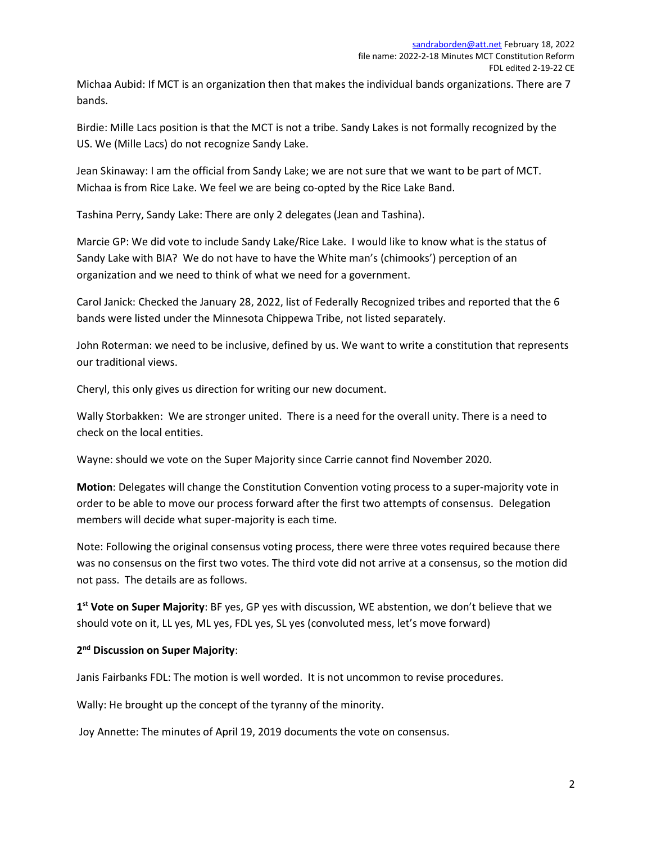Michaa Aubid: If MCT is an organization then that makes the individual bands organizations. There are 7 bands.

Birdie: Mille Lacs position is that the MCT is not a tribe. Sandy Lakes is not formally recognized by the US. We (Mille Lacs) do not recognize Sandy Lake.

Jean Skinaway: I am the official from Sandy Lake; we are not sure that we want to be part of MCT. Michaa is from Rice Lake. We feel we are being co-opted by the Rice Lake Band.

Tashina Perry, Sandy Lake: There are only 2 delegates (Jean and Tashina).

Marcie GP: We did vote to include Sandy Lake/Rice Lake. I would like to know what is the status of Sandy Lake with BIA? We do not have to have the White man's (chimooks') perception of an organization and we need to think of what we need for a government.

Carol Janick: Checked the January 28, 2022, list of Federally Recognized tribes and reported that the 6 bands were listed under the Minnesota Chippewa Tribe, not listed separately.

John Roterman: we need to be inclusive, defined by us. We want to write a constitution that represents our traditional views.

Cheryl, this only gives us direction for writing our new document.

Wally Storbakken: We are stronger united. There is a need for the overall unity. There is a need to check on the local entities.

Wayne: should we vote on the Super Majority since Carrie cannot find November 2020.

Motion: Delegates will change the Constitution Convention voting process to a super-majority vote in order to be able to move our process forward after the first two attempts of consensus. Delegation members will decide what super-majority is each time.

Note: Following the original consensus voting process, there were three votes required because there was no consensus on the first two votes. The third vote did not arrive at a consensus, so the motion did not pass. The details are as follows.

1<sup>st</sup> Vote on Super Majority: BF yes, GP yes with discussion, WE abstention, we don't believe that we should vote on it, LL yes, ML yes, FDL yes, SL yes (convoluted mess, let's move forward)

# 2<sup>nd</sup> Discussion on Super Majority:

Janis Fairbanks FDL: The motion is well worded. It is not uncommon to revise procedures.

Wally: He brought up the concept of the tyranny of the minority.

Joy Annette: The minutes of April 19, 2019 documents the vote on consensus.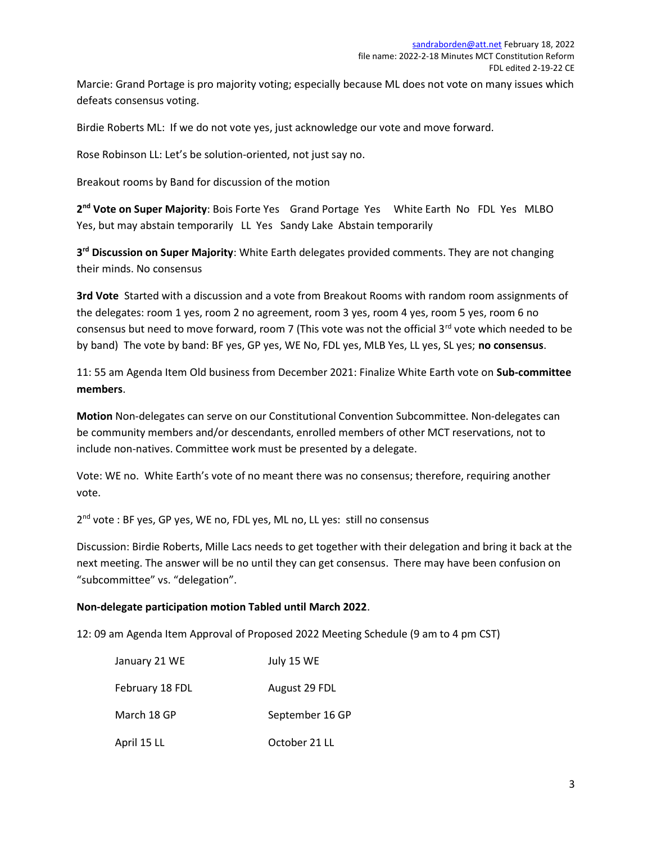Marcie: Grand Portage is pro majority voting; especially because ML does not vote on many issues which defeats consensus voting.

Birdie Roberts ML: If we do not vote yes, just acknowledge our vote and move forward.

Rose Robinson LL: Let's be solution-oriented, not just say no.

Breakout rooms by Band for discussion of the motion

2<sup>nd</sup> Vote on Super Majority: Bois Forte Yes Grand Portage Yes White Earth No FDL Yes MLBO Yes, but may abstain temporarily LL Yes Sandy Lake Abstain temporarily

3<sup>rd</sup> Discussion on Super Majority: White Earth delegates provided comments. They are not changing their minds. No consensus

3rd Vote Started with a discussion and a vote from Breakout Rooms with random room assignments of the delegates: room 1 yes, room 2 no agreement, room 3 yes, room 4 yes, room 5 yes, room 6 no consensus but need to move forward, room 7 (This vote was not the official 3<sup>rd</sup> vote which needed to be by band) The vote by band: BF yes, GP yes, WE No, FDL yes, MLB Yes, LL yes, SL yes; no consensus.

11: 55 am Agenda Item Old business from December 2021: Finalize White Earth vote on Sub-committee members.

Motion Non-delegates can serve on our Constitutional Convention Subcommittee. Non-delegates can be community members and/or descendants, enrolled members of other MCT reservations, not to include non-natives. Committee work must be presented by a delegate.

Vote: WE no. White Earth's vote of no meant there was no consensus; therefore, requiring another vote.

2<sup>nd</sup> vote : BF yes, GP yes, WE no, FDL yes, ML no, LL yes: still no consensus

Discussion: Birdie Roberts, Mille Lacs needs to get together with their delegation and bring it back at the next meeting. The answer will be no until they can get consensus. There may have been confusion on "subcommittee" vs. "delegation".

#### Non-delegate participation motion Tabled until March 2022.

12: 09 am Agenda Item Approval of Proposed 2022 Meeting Schedule (9 am to 4 pm CST)

| January 21 WE   | July 15 WE      |
|-----------------|-----------------|
| February 18 FDL | August 29 FDL   |
| March 18 GP     | September 16 GP |
| April 15 LL     | October 21 LL   |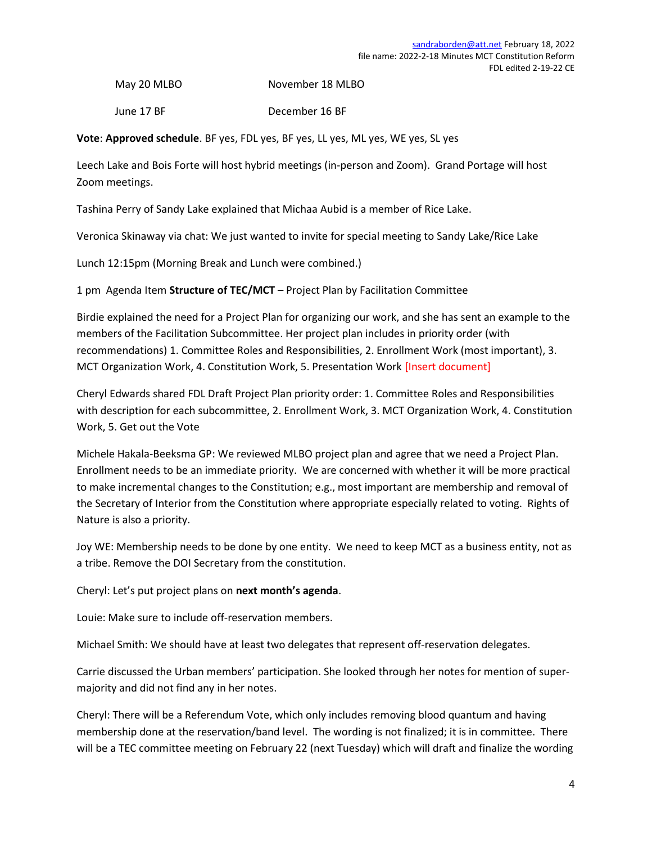May 20 MLBO November 18 MLBO

June 17 BF December 16 BF

Vote: Approved schedule. BF yes, FDL yes, BF yes, LL yes, ML yes, WE yes, SL yes

Leech Lake and Bois Forte will host hybrid meetings (in-person and Zoom). Grand Portage will host Zoom meetings.

Tashina Perry of Sandy Lake explained that Michaa Aubid is a member of Rice Lake.

Veronica Skinaway via chat: We just wanted to invite for special meeting to Sandy Lake/Rice Lake

Lunch 12:15pm (Morning Break and Lunch were combined.)

1 pm Agenda Item Structure of TEC/MCT – Project Plan by Facilitation Committee

Birdie explained the need for a Project Plan for organizing our work, and she has sent an example to the members of the Facilitation Subcommittee. Her project plan includes in priority order (with recommendations) 1. Committee Roles and Responsibilities, 2. Enrollment Work (most important), 3. MCT Organization Work, 4. Constitution Work, 5. Presentation Work [Insert document]

Cheryl Edwards shared FDL Draft Project Plan priority order: 1. Committee Roles and Responsibilities with description for each subcommittee, 2. Enrollment Work, 3. MCT Organization Work, 4. Constitution Work, 5. Get out the Vote

Michele Hakala-Beeksma GP: We reviewed MLBO project plan and agree that we need a Project Plan. Enrollment needs to be an immediate priority. We are concerned with whether it will be more practical to make incremental changes to the Constitution; e.g., most important are membership and removal of the Secretary of Interior from the Constitution where appropriate especially related to voting. Rights of Nature is also a priority.

Joy WE: Membership needs to be done by one entity. We need to keep MCT as a business entity, not as a tribe. Remove the DOI Secretary from the constitution.

Cheryl: Let's put project plans on next month's agenda.

Louie: Make sure to include off-reservation members.

Michael Smith: We should have at least two delegates that represent off-reservation delegates.

Carrie discussed the Urban members' participation. She looked through her notes for mention of supermajority and did not find any in her notes.

Cheryl: There will be a Referendum Vote, which only includes removing blood quantum and having membership done at the reservation/band level. The wording is not finalized; it is in committee. There will be a TEC committee meeting on February 22 (next Tuesday) which will draft and finalize the wording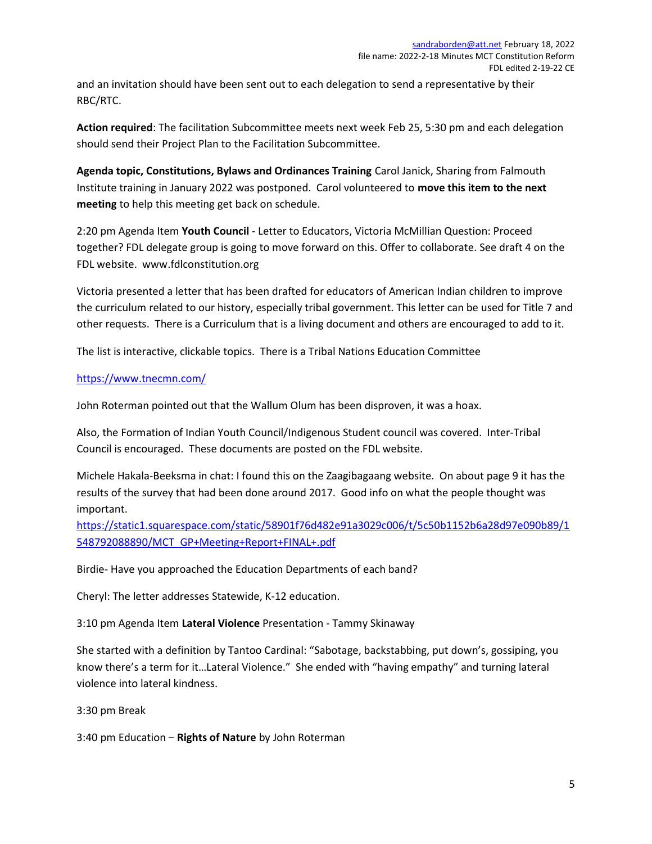and an invitation should have been sent out to each delegation to send a representative by their RBC/RTC.

Action required: The facilitation Subcommittee meets next week Feb 25, 5:30 pm and each delegation should send their Project Plan to the Facilitation Subcommittee.

Agenda topic, Constitutions, Bylaws and Ordinances Training Carol Janick, Sharing from Falmouth Institute training in January 2022 was postponed. Carol volunteered to move this item to the next meeting to help this meeting get back on schedule.

2:20 pm Agenda Item Youth Council - Letter to Educators, Victoria McMillian Question: Proceed together? FDL delegate group is going to move forward on this. Offer to collaborate. See draft 4 on the FDL website. www.fdlconstitution.org

Victoria presented a letter that has been drafted for educators of American Indian children to improve the curriculum related to our history, especially tribal government. This letter can be used for Title 7 and other requests. There is a Curriculum that is a living document and others are encouraged to add to it.

The list is interactive, clickable topics. There is a Tribal Nations Education Committee

# https://www.tnecmn.com/

John Roterman pointed out that the Wallum Olum has been disproven, it was a hoax.

Also, the Formation of Indian Youth Council/Indigenous Student council was covered. Inter-Tribal Council is encouraged. These documents are posted on the FDL website.

Michele Hakala-Beeksma in chat: I found this on the Zaagibagaang website. On about page 9 it has the results of the survey that had been done around 2017. Good info on what the people thought was important.

https://static1.squarespace.com/static/58901f76d482e91a3029c006/t/5c50b1152b6a28d97e090b89/1 548792088890/MCT\_GP+Meeting+Report+FINAL+.pdf

Birdie- Have you approached the Education Departments of each band?

Cheryl: The letter addresses Statewide, K-12 education.

3:10 pm Agenda Item Lateral Violence Presentation - Tammy Skinaway

She started with a definition by Tantoo Cardinal: "Sabotage, backstabbing, put down's, gossiping, you know there's a term for it…Lateral Violence." She ended with "having empathy" and turning lateral violence into lateral kindness.

3:30 pm Break

3:40 pm Education – Rights of Nature by John Roterman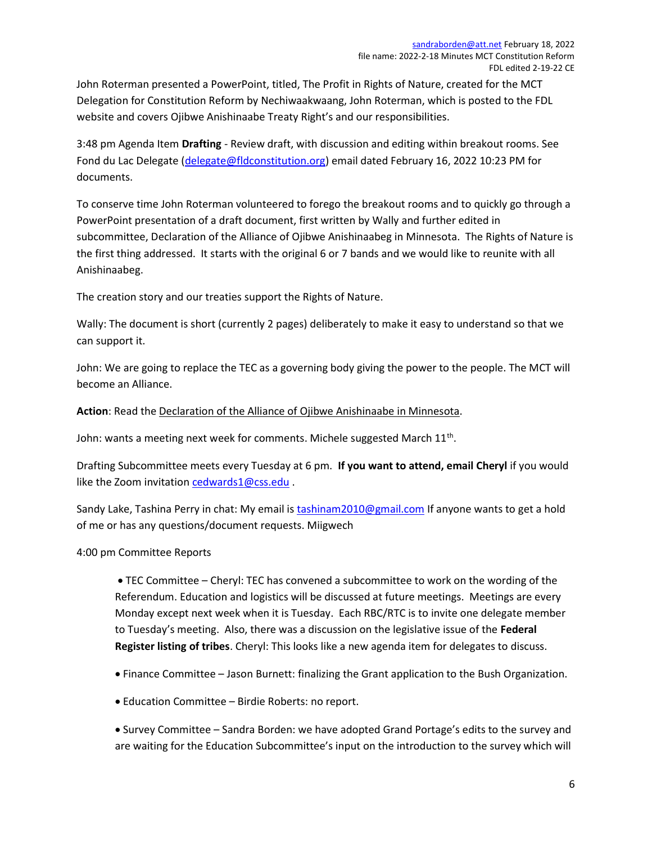John Roterman presented a PowerPoint, titled, The Profit in Rights of Nature, created for the MCT Delegation for Constitution Reform by Nechiwaakwaang, John Roterman, which is posted to the FDL website and covers Ojibwe Anishinaabe Treaty Right's and our responsibilities.

3:48 pm Agenda Item Drafting - Review draft, with discussion and editing within breakout rooms. See Fond du Lac Delegate (delegate@fldconstitution.org) email dated February 16, 2022 10:23 PM for documents.

To conserve time John Roterman volunteered to forego the breakout rooms and to quickly go through a PowerPoint presentation of a draft document, first written by Wally and further edited in subcommittee, Declaration of the Alliance of Ojibwe Anishinaabeg in Minnesota. The Rights of Nature is the first thing addressed. It starts with the original 6 or 7 bands and we would like to reunite with all Anishinaabeg.

The creation story and our treaties support the Rights of Nature.

Wally: The document is short (currently 2 pages) deliberately to make it easy to understand so that we can support it.

John: We are going to replace the TEC as a governing body giving the power to the people. The MCT will become an Alliance.

# Action: Read the Declaration of the Alliance of Ojibwe Anishinaabe in Minnesota.

John: wants a meeting next week for comments. Michele suggested March  $11^{\text{th}}$ .

Drafting Subcommittee meets every Tuesday at 6 pm. If you want to attend, email Cheryl if you would like the Zoom invitation cedwards1@css.edu.

Sandy Lake, Tashina Perry in chat: My email is tashinam2010@gmail.com If anyone wants to get a hold of me or has any questions/document requests. Miigwech

#### 4:00 pm Committee Reports

 TEC Committee – Cheryl: TEC has convened a subcommittee to work on the wording of the Referendum. Education and logistics will be discussed at future meetings. Meetings are every Monday except next week when it is Tuesday. Each RBC/RTC is to invite one delegate member to Tuesday's meeting. Also, there was a discussion on the legislative issue of the Federal Register listing of tribes. Cheryl: This looks like a new agenda item for delegates to discuss.

- Finance Committee Jason Burnett: finalizing the Grant application to the Bush Organization.
- Education Committee Birdie Roberts: no report.

 Survey Committee – Sandra Borden: we have adopted Grand Portage's edits to the survey and are waiting for the Education Subcommittee's input on the introduction to the survey which will